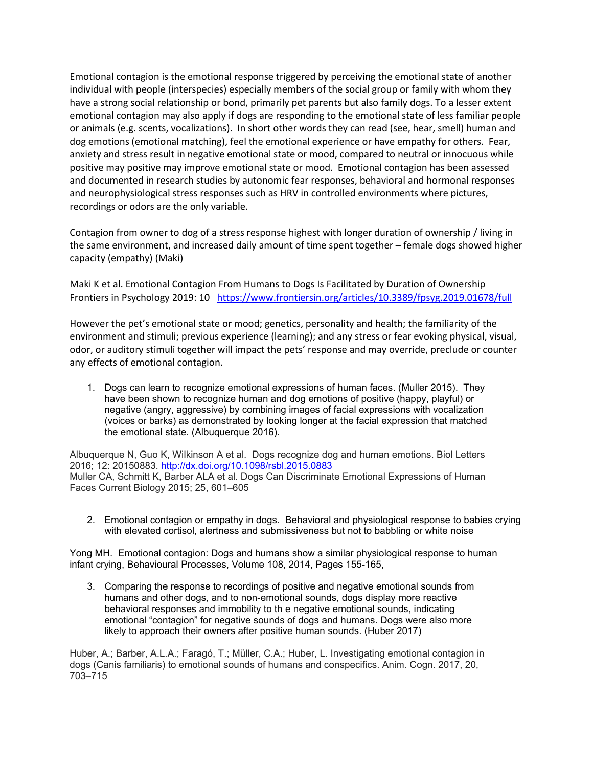Emotional contagion is the emotional response triggered by perceiving the emotional state of another individual with people (interspecies) especially members of the social group or family with whom they have a strong social relationship or bond, primarily pet parents but also family dogs. To a lesser extent emotional contagion may also apply if dogs are responding to the emotional state of less familiar people or animals (e.g. scents, vocalizations). In short other words they can read (see, hear, smell) human and dog emotions (emotional matching), feel the emotional experience or have empathy for others. Fear, anxiety and stress result in negative emotional state or mood, compared to neutral or innocuous while positive may positive may improve emotional state or mood. Emotional contagion has been assessed and documented in research studies by autonomic fear responses, behavioral and hormonal responses and neurophysiological stress responses such as HRV in controlled environments where pictures, recordings or odors are the only variable.

Contagion from owner to dog of a stress response highest with longer duration of ownership / living in the same environment, and increased daily amount of time spent together – female dogs showed higher capacity (empathy) (Maki)

Maki K et al. Emotional Contagion From Humans to Dogs Is Facilitated by Duration of Ownership Frontiers in Psychology 2019: 10 <https://www.frontiersin.org/articles/10.3389/fpsyg.2019.01678/full>

However the pet's emotional state or mood; genetics, personality and health; the familiarity of the environment and stimuli; previous experience (learning); and any stress or fear evoking physical, visual, odor, or auditory stimuli together will impact the pets' response and may override, preclude or counter any effects of emotional contagion.

1. Dogs can learn to recognize emotional expressions of human faces. (Muller 2015). They have been shown to recognize human and dog emotions of positive (happy, playful) or negative (angry, aggressive) by combining images of facial expressions with vocalization (voices or barks) as demonstrated by looking longer at the facial expression that matched the emotional state. (Albuquerque 2016).

Albuquerque N, Guo K, Wilkinson A et al. Dogs recognize dog and human emotions. Biol Letters 2016; 12: 20150883.<http://dx.doi.org/10.1098/rsbl.2015.0883> Muller CA, Schmitt K, Barber ALA et al. Dogs Can Discriminate Emotional Expressions of Human Faces Current Biology 2015; 25, 601–605

2. Emotional contagion or empathy in dogs. Behavioral and physiological response to babies crying with elevated cortisol, alertness and submissiveness but not to babbling or white noise

Yong MH. Emotional contagion: Dogs and humans show a similar physiological response to human infant crying, Behavioural Processes, Volume 108, 2014, Pages 155-165,

3. Comparing the response to recordings of positive and negative emotional sounds from humans and other dogs, and to non-emotional sounds, dogs display more reactive behavioral responses and immobility to th e negative emotional sounds, indicating emotional "contagion" for negative sounds of dogs and humans. Dogs were also more likely to approach their owners after positive human sounds. (Huber 2017)

Huber, A.; Barber, A.L.A.; Faragó, T.; Müller, C.A.; Huber, L. Investigating emotional contagion in dogs (Canis familiaris) to emotional sounds of humans and conspecifics. Anim. Cogn. 2017, 20, 703–715